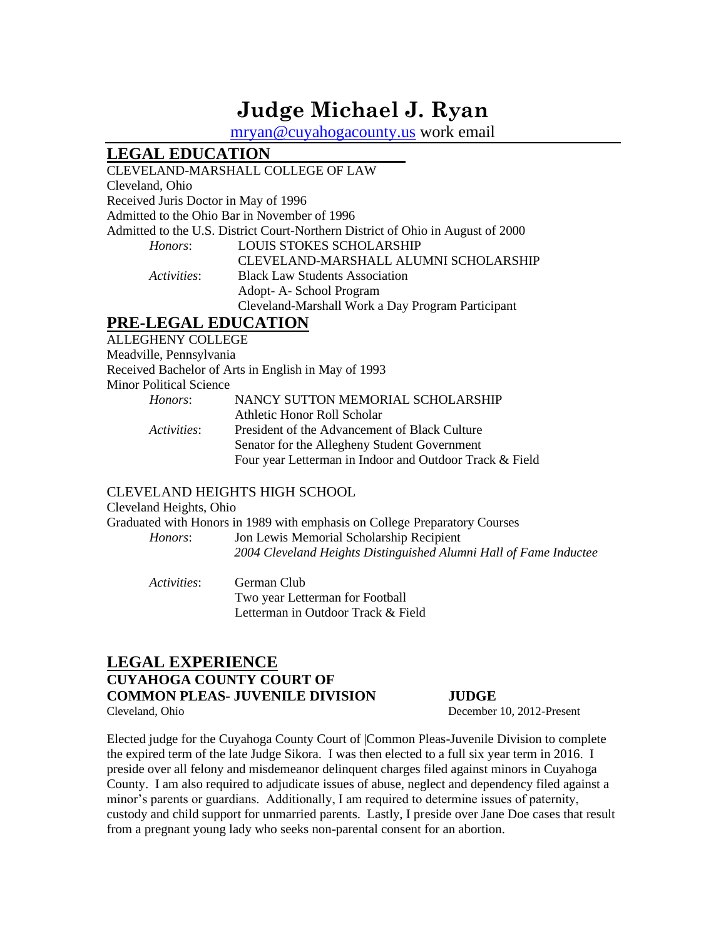# **Judge Michael J. Ryan**

[mryan@cuyahogacounty.us](mailto:mryan@cuyahogacounty.us) work email

## **LEGAL EDUCATION**

## CLEVELAND-MARSHALL COLLEGE OF LAW Cleveland, Ohio Received Juris Doctor in May of 1996 Admitted to the Ohio Bar in November of 1996 Admitted to the U.S. District Court-Northern District of Ohio in August of 2000 *Honors*: LOUIS STOKES SCHOLARSHIP CLEVELAND-MARSHALL ALUMNI SCHOLARSHIP *Activities*: Black Law Students Association Adopt- A- School Program Cleveland-Marshall Work a Day Program Participant

## **PRE-LEGAL EDUCATION**

ALLEGHENY COLLEGE Meadville, Pennsylvania Received Bachelor of Arts in English in May of 1993 Minor Political Science *Honors*: NANCY SUTTON MEMORIAL SCHOLARSHIP Athletic Honor Roll Scholar *Activities*: President of the Advancement of Black Culture Senator for the Allegheny Student Government Four year Letterman in Indoor and Outdoor Track & Field

## CLEVELAND HEIGHTS HIGH SCHOOL

Cleveland Heights, Ohio

Graduated with Honors in 1989 with emphasis on College Preparatory Courses *Honors*: Jon Lewis Memorial Scholarship Recipient *2004 Cleveland Heights Distinguished Alumni Hall of Fame Inductee*

*Activities*: German Club Two year Letterman for Football Letterman in Outdoor Track & Field

## **LEGAL EXPERIENCE CUYAHOGA COUNTY COURT OF COMMON PLEAS- JUVENILE DIVISION JUDGE** Cleveland, Ohio December 10, 2012-Present

Elected judge for the Cuyahoga County Court of |Common Pleas-Juvenile Division to complete the expired term of the late Judge Sikora. I was then elected to a full six year term in 2016. I preside over all felony and misdemeanor delinquent charges filed against minors in Cuyahoga County. I am also required to adjudicate issues of abuse, neglect and dependency filed against a minor's parents or guardians. Additionally, I am required to determine issues of paternity, custody and child support for unmarried parents. Lastly, I preside over Jane Doe cases that result from a pregnant young lady who seeks non-parental consent for an abortion.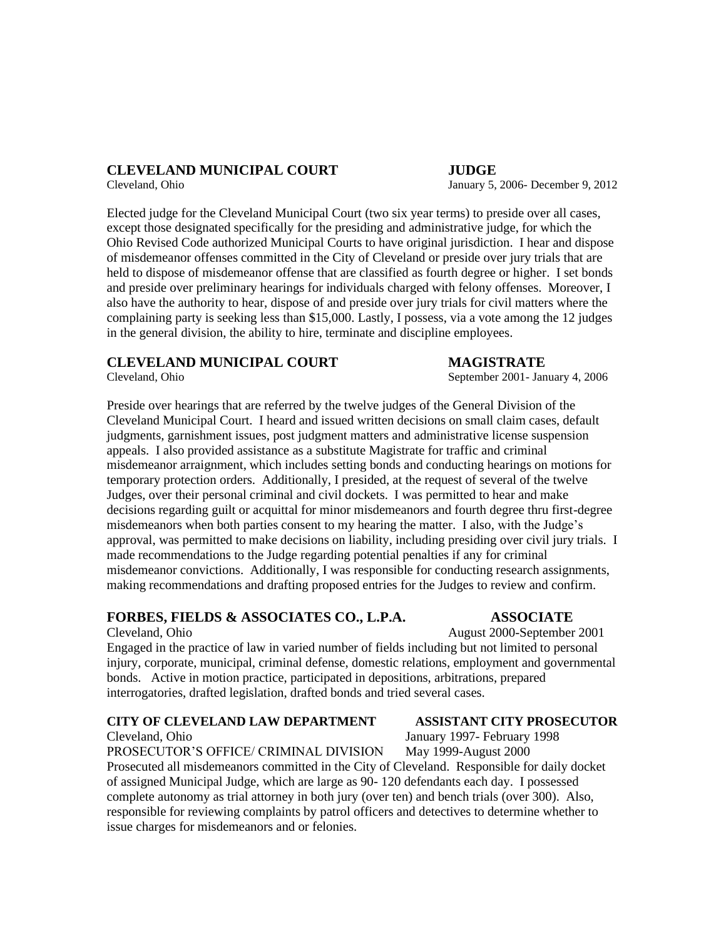## **CLEVELAND MUNICIPAL COURT JUDGE**

Cleveland, Ohio January 5, 2006- December 9, 2012

Elected judge for the Cleveland Municipal Court (two six year terms) to preside over all cases, except those designated specifically for the presiding and administrative judge, for which the Ohio Revised Code authorized Municipal Courts to have original jurisdiction. I hear and dispose of misdemeanor offenses committed in the City of Cleveland or preside over jury trials that are held to dispose of misdemeanor offense that are classified as fourth degree or higher. I set bonds and preside over preliminary hearings for individuals charged with felony offenses. Moreover, I also have the authority to hear, dispose of and preside over jury trials for civil matters where the complaining party is seeking less than \$15,000. Lastly, I possess, via a vote among the 12 judges in the general division, the ability to hire, terminate and discipline employees.

## **CLEVELAND MUNICIPAL COURT MAGISTRATE**

Preside over hearings that are referred by the twelve judges of the General Division of the Cleveland Municipal Court. I heard and issued written decisions on small claim cases, default judgments, garnishment issues, post judgment matters and administrative license suspension appeals. I also provided assistance as a substitute Magistrate for traffic and criminal misdemeanor arraignment, which includes setting bonds and conducting hearings on motions for temporary protection orders. Additionally, I presided, at the request of several of the twelve Judges, over their personal criminal and civil dockets. I was permitted to hear and make decisions regarding guilt or acquittal for minor misdemeanors and fourth degree thru first-degree misdemeanors when both parties consent to my hearing the matter. I also, with the Judge's approval, was permitted to make decisions on liability, including presiding over civil jury trials. I made recommendations to the Judge regarding potential penalties if any for criminal misdemeanor convictions. Additionally, I was responsible for conducting research assignments, making recommendations and drafting proposed entries for the Judges to review and confirm.

## **FORBES, FIELDS & ASSOCIATES CO., L.P.A. ASSOCIATE**

### Cleveland, Ohio August 2000-September 2001

Engaged in the practice of law in varied number of fields including but not limited to personal injury, corporate, municipal, criminal defense, domestic relations, employment and governmental bonds. Active in motion practice, participated in depositions, arbitrations, prepared interrogatories, drafted legislation, drafted bonds and tried several cases.

## **CITY OF CLEVELAND LAW DEPARTMENT ASSISTANT CITY PROSECUTOR**

Cleveland, Ohio January 1997- February 1998

PROSECUTOR'S OFFICE/ CRIMINAL DIVISION May 1999-August 2000 Prosecuted all misdemeanors committed in the City of Cleveland. Responsible for daily docket of assigned Municipal Judge, which are large as 90- 120 defendants each day. I possessed complete autonomy as trial attorney in both jury (over ten) and bench trials (over 300). Also, responsible for reviewing complaints by patrol officers and detectives to determine whether to issue charges for misdemeanors and or felonies.

Cleveland, Ohio September 2001- January 4, 2006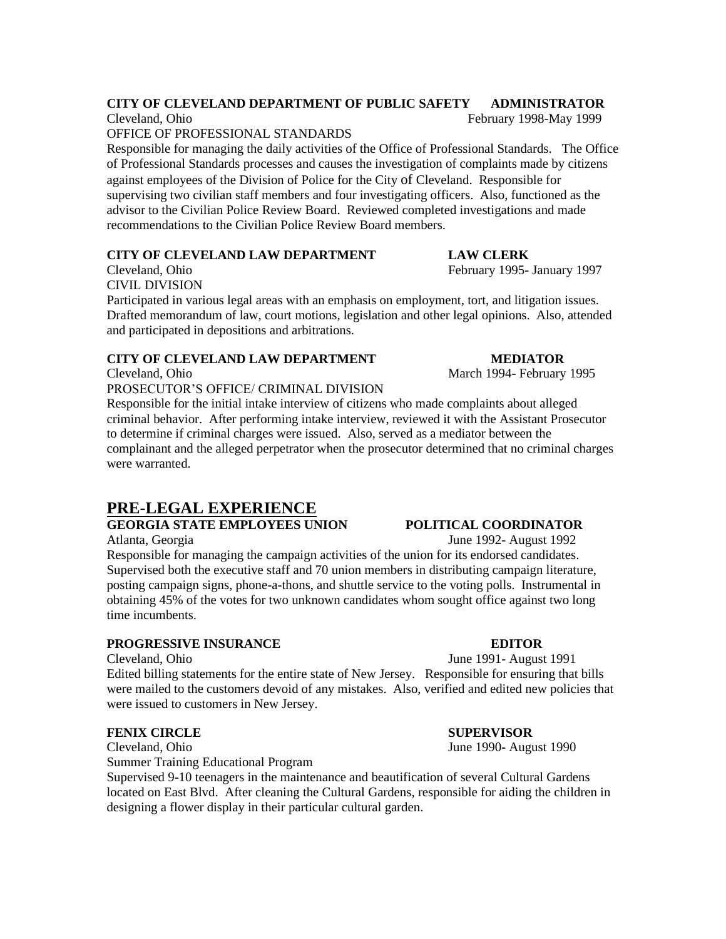## **CITY OF CLEVELAND DEPARTMENT OF PUBLIC SAFETY ADMINISTRATOR**

OFFICE OF PROFESSIONAL STANDARDS

Responsible for managing the daily activities of the Office of Professional Standards. The Office of Professional Standards processes and causes the investigation of complaints made by citizens against employees of the Division of Police for the City of Cleveland. Responsible for supervising two civilian staff members and four investigating officers. Also, functioned as the advisor to the Civilian Police Review Board. Reviewed completed investigations and made recommendations to the Civilian Police Review Board members.

## **CITY OF CLEVELAND LAW DEPARTMENT LAW CLERK**

CIVIL DIVISION

Participated in various legal areas with an emphasis on employment, tort, and litigation issues. Drafted memorandum of law, court motions, legislation and other legal opinions. Also, attended and participated in depositions and arbitrations.

## **CITY OF CLEVELAND LAW DEPARTMENT MEDIATOR**

Cleveland, Ohio March 1994- February 1995

PROSECUTOR'S OFFICE/ CRIMINAL DIVISION

Responsible for the initial intake interview of citizens who made complaints about alleged criminal behavior. After performing intake interview, reviewed it with the Assistant Prosecutor to determine if criminal charges were issued. Also, served as a mediator between the complainant and the alleged perpetrator when the prosecutor determined that no criminal charges were warranted.

## **PRE-LEGAL EXPERIENCE**

## **GEORGIA STATE EMPLOYEES UNION POLITICAL COORDINATOR**

Responsible for managing the campaign activities of the union for its endorsed candidates. Supervised both the executive staff and 70 union members in distributing campaign literature, posting campaign signs, phone-a-thons, and shuttle service to the voting polls. Instrumental in obtaining 45% of the votes for two unknown candidates whom sought office against two long time incumbents.

## **PROGRESSIVE INSURANCE EDITOR**

Cleveland, Ohio June 1991- August 1991

Edited billing statements for the entire state of New Jersey. Responsible for ensuring that bills were mailed to the customers devoid of any mistakes. Also, verified and edited new policies that were issued to customers in New Jersey.

## **FENIX CIRCLE SUPERVISOR**

Cleveland, Ohio June 1990- August 1990

Summer Training Educational Program

Supervised 9-10 teenagers in the maintenance and beautification of several Cultural Gardens located on East Blvd. After cleaning the Cultural Gardens, responsible for aiding the children in designing a flower display in their particular cultural garden.

Atlanta, Georgia June 1992- August 1992

Cleveland, Ohio February 1995- January 1997

Cleveland, Ohio **February 1998-May 1999**